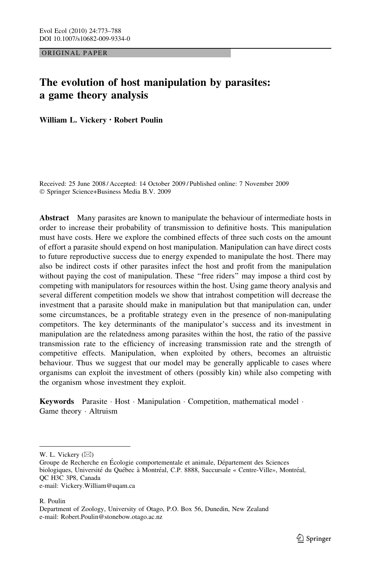ORIGINAL PAPER

# The evolution of host manipulation by parasites: a game theory analysis

William L. Vickery • Robert Poulin

Received: 25 June 2008 / Accepted: 14 October 2009 / Published online: 7 November 2009 - Springer Science+Business Media B.V. 2009

Abstract Many parasites are known to manipulate the behaviour of intermediate hosts in order to increase their probability of transmission to definitive hosts. This manipulation must have costs. Here we explore the combined effects of three such costs on the amount of effort a parasite should expend on host manipulation. Manipulation can have direct costs to future reproductive success due to energy expended to manipulate the host. There may also be indirect costs if other parasites infect the host and profit from the manipulation without paying the cost of manipulation. These "free riders" may impose a third cost by competing with manipulators for resources within the host. Using game theory analysis and several different competition models we show that intrahost competition will decrease the investment that a parasite should make in manipulation but that manipulation can, under some circumstances, be a profitable strategy even in the presence of non-manipulating competitors. The key determinants of the manipulator's success and its investment in manipulation are the relatedness among parasites within the host, the ratio of the passive transmission rate to the efficiency of increasing transmission rate and the strength of competitive effects. Manipulation, when exploited by others, becomes an altruistic behaviour. Thus we suggest that our model may be generally applicable to cases where organisms can exploit the investment of others (possibly kin) while also competing with the organism whose investment they exploit.

Keywords Parasite · Host · Manipulation · Competition, mathematical model · Game theory - Altruism

W. L. Vickery  $(\boxtimes)$ 

e-mail: Vickery.William@uqam.ca

R. Poulin

Groupe de Recherche en Écologie comportementale et animale, Département des Sciences biologiques, Université du Québec à Montréal, C.P. 8888, Succursale « Centre-Ville», Montréal, QC H3C 3P8, Canada

Department of Zoology, University of Otago, P.O. Box 56, Dunedin, New Zealand e-mail: Robert.Poulin@stonebow.otago.ac.nz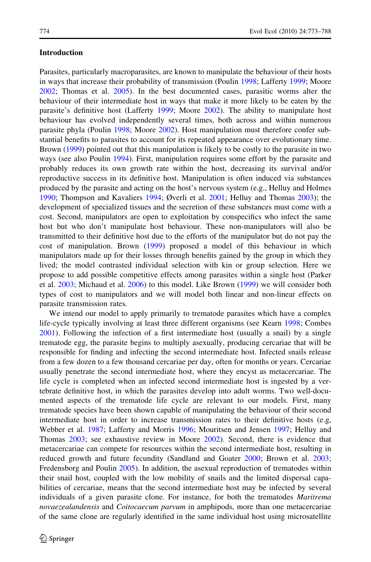# Introduction

Parasites, particularly macroparasites, are known to manipulate the behaviour of their hosts in ways that increase their probability of transmission (Poulin [1998](#page-14-0); Lafferty [1999](#page-14-0); Moore [2002;](#page-14-0) Thomas et al. [2005](#page-15-0)). In the best documented cases, parasitic worms alter the behaviour of their intermediate host in ways that make it more likely to be eaten by the parasite's definitive host (Lafferty [1999](#page-14-0); Moore [2002\)](#page-14-0). The ability to manipulate host behaviour has evolved independently several times, both across and within numerous parasite phyla (Poulin [1998;](#page-14-0) Moore [2002\)](#page-14-0). Host manipulation must therefore confer substantial benefits to parasites to account for its repeated appearance over evolutionary time. Brown [\(1999](#page-14-0)) pointed out that this manipulation is likely to be costly to the parasite in two ways (see also Poulin [1994\)](#page-14-0). First, manipulation requires some effort by the parasite and probably reduces its own growth rate within the host, decreasing its survival and/or reproductive success in its definitive host. Manipulation is often induced via substances produced by the parasite and acting on the host's nervous system (e.g., Helluy and Holmes [1990;](#page-14-0) Thompson and Kavaliers [1994](#page-15-0); Øverli et al. [2001;](#page-14-0) Helluy and Thomas [2003\)](#page-14-0); the development of specialized tissues and the secretion of these substances must come with a cost. Second, manipulators are open to exploitation by conspecifics who infect the same host but who don't manipulate host behaviour. These non-manipulators will also be transmitted to their definitive host due to the efforts of the manipulator but do not pay the cost of manipulation. Brown [\(1999](#page-14-0)) proposed a model of this behaviour in which manipulators made up for their losses through benefits gained by the group in which they lived; the model contrasted individual selection with kin or group selection. Here we propose to add possible competitive effects among parasites within a single host (Parker et al. [2003;](#page-14-0) Michaud et al. [2006](#page-14-0)) to this model. Like Brown [\(1999](#page-14-0)) we will consider both types of cost to manipulators and we will model both linear and non-linear effects on parasite transmission rates.

We intend our model to apply primarily to trematode parasites which have a complex life-cycle typically involving at least three different organisms (see Kearn [1998;](#page-14-0) Combes [2001\)](#page-14-0). Following the infection of a first intermediate host (usually a snail) by a single trematode egg, the parasite begins to multiply asexually, producing cercariae that will be responsible for finding and infecting the second intermediate host. Infected snails release from a few dozen to a few thousand cercariae per day, often for months or years. Cercariae usually penetrate the second intermediate host, where they encyst as metacercariae. The life cycle is completed when an infected second intermediate host is ingested by a vertebrate definitive host, in which the parasites develop into adult worms. Two well-documented aspects of the trematode life cycle are relevant to our models. First, many trematode species have been shown capable of manipulating the behaviour of their second intermediate host in order to increase transmission rates to their definitive hosts (e.g, Webber et al. [1987;](#page-15-0) Lafferty and Morris [1996](#page-14-0); Mouritsen and Jensen [1997](#page-14-0); Helluy and Thomas [2003;](#page-14-0) see exhaustive review in Moore [2002\)](#page-14-0). Second, there is evidence that metacercariae can compete for resources within the second intermediate host, resulting in reduced growth and future fecundity (Sandland and Goater [2000;](#page-15-0) Brown et al. [2003;](#page-14-0) Fredensborg and Poulin [2005](#page-14-0)). In addition, the asexual reproduction of trematodes within their snail host, coupled with the low mobility of snails and the limited dispersal capabilities of cercariae, means that the second intermediate host may be infected by several individuals of a given parasite clone. For instance, for both the trematodes *Maritrema* novaezealandensis and Coitocaecum parvum in amphipods, more than one metacercariae of the same clone are regularly identified in the same individual host using microsatellite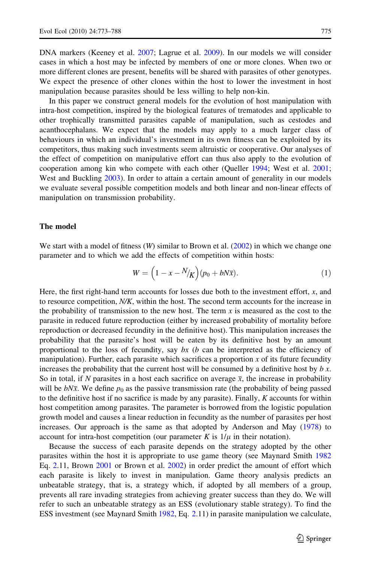<span id="page-2-0"></span>DNA markers (Keeney et al. [2007](#page-14-0); Lagrue et al. [2009\)](#page-14-0). In our models we will consider cases in which a host may be infected by members of one or more clones. When two or more different clones are present, benefits will be shared with parasites of other genotypes. We expect the presence of other clones within the host to lower the investment in host manipulation because parasites should be less willing to help non-kin.

In this paper we construct general models for the evolution of host manipulation with intra-host competition, inspired by the biological features of trematodes and applicable to other trophically transmitted parasites capable of manipulation, such as cestodes and acanthocephalans. We expect that the models may apply to a much larger class of behaviours in which an individual's investment in its own fitness can be exploited by its competitors, thus making such investments seem altruistic or cooperative. Our analyses of the effect of competition on manipulative effort can thus also apply to the evolution of cooperation among kin who compete with each other (Queller [1994](#page-15-0); West et al. [2001;](#page-15-0) West and Buckling [2003\)](#page-15-0). In order to attain a certain amount of generality in our models we evaluate several possible competition models and both linear and non-linear effects of manipulation on transmission probability.

## The model

We start with a model of fitness  $(W)$  similar to Brown et al.  $(2002)$  $(2002)$  in which we change one parameter and to which we add the effects of competition within hosts:

$$
W = \left(1 - x - \frac{N}{K}\right)(p_0 + bN\overline{x}).\tag{1}
$$

Here, the first right-hand term accounts for losses due both to the investment effort,  $x$ , and to resource competition, N/K, within the host. The second term accounts for the increase in the probability of transmission to the new host. The term  $x$  is measured as the cost to the parasite in reduced future reproduction (either by increased probability of mortality before reproduction or decreased fecundity in the definitive host). This manipulation increases the probability that the parasite's host will be eaten by its definitive host by an amount proportional to the loss of fecundity, say bx  $(b \text{ can be interpreted as the efficiency of})$ manipulation). Further, each parasite which sacrifices a proportion  $x$  of its future fecundity increases the probability that the current host will be consumed by a definitive host by  $b x$ . So in total, if N parasites in a host each sacrifice on average  $\bar{x}$ , the increase in probability will be  $b\bar{N}\bar{x}$ . We define  $p_0$  as the passive transmission rate (the probability of being passed to the definitive host if no sacrifice is made by any parasite). Finally,  $K$  accounts for within host competition among parasites. The parameter is borrowed from the logistic population growth model and causes a linear reduction in fecundity as the number of parasites per host increases. Our approach is the same as that adopted by Anderson and May ([1978\)](#page-14-0) to account for intra-host competition (our parameter K is  $1/\mu$  in their notation).

Because the success of each parasite depends on the strategy adopted by the other parasites within the host it is appropriate to use game theory (see Maynard Smith [1982](#page-14-0) Eq. [2.](#page-3-0)11, Brown [2001](#page-14-0) or Brown et al. [2002\)](#page-14-0) in order predict the amount of effort which each parasite is likely to invest in manipulation. Game theory analysis predicts an unbeatable strategy, that is, a strategy which, if adopted by all members of a group, prevents all rare invading strategies from achieving greater success than they do. We will refer to such an unbeatable strategy as an ESS (evolutionary stable strategy). To find the ESS investment (see Maynard Smith [1982,](#page-14-0) Eq. [2](#page-3-0).11) in parasite manipulation we calculate,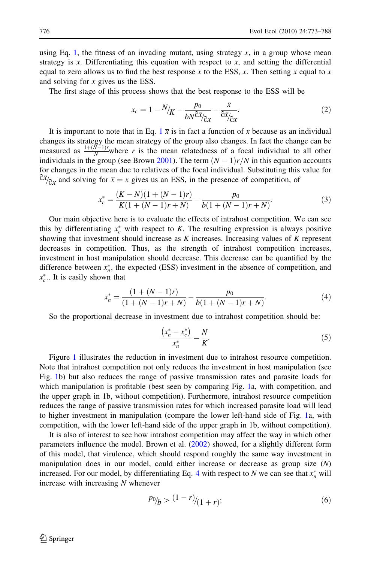<span id="page-3-0"></span>using Eq. [1,](#page-2-0) the fitness of an invading mutant, using strategy  $x$ , in a group whose mean strategy is  $\bar{x}$ . Differentiating this equation with respect to x, and setting the differential equal to zero allows us to find the best response x to the ESS,  $\overline{x}$ . Then setting  $\overline{x}$  equal to x and solving for x gives us the ESS.

The first stage of this process shows that the best response to the ESS will be

$$
x_c = 1 - \frac{N}{K} - \frac{p_0}{bN^{\hat{\alpha}\bar{x}}/\hat{\alpha}_x} - \frac{\bar{x}}{\hat{\alpha}\bar{x}/\hat{\alpha}_x}.
$$
 (2)

It is important to note that in Eq. [1](#page-2-0)  $\bar{x}$  is in fact a function of x because as an individual changes its strategy the mean strategy of the group also changes. In fact the change can be measured as  $\frac{1+(N-1)r}{N}$  where r is the mean relatedness of a focal individual to all other individuals in the group (see Brown [2001\)](#page-14-0). The term  $(N-1)r/N$  in this equation accounts for changes in the mean due to relatives of the focal individual. Substituting this value for  $\partial \bar{x}/\partial x$  and solving for  $\bar{x} = x$  gives us an ESS, in the presence of competition, of

$$
x_c^* = \frac{(K - N)(1 + (N - 1)r)}{K(1 + (N - 1)r + N)} - \frac{p_0}{b(1 + (N - 1)r + N)}.
$$
\n(3)

Our main objective here is to evaluate the effects of intrahost competition. We can see this by differentiating  $x_c^*$  with respect to K. The resulting expression is always positive showing that investment should increase as  $K$  increases. Increasing values of  $K$  represent decreases in competition. Thus, as the strength of intrahost competition increases, investment in host manipulation should decrease. This decrease can be quantified by the difference between  $x_n^*$ , the expected (ESS) investment in the absence of competition, and  $x_c^*$ .. It is easily shown that

$$
x_n^* = \frac{(1 + (N - 1)r)}{(1 + (N - 1)r + N)} - \frac{p_0}{b(1 + (N - 1)r + N)}.
$$
\n(4)

So the proportional decrease in investment due to intrahost competition should be:

$$
\frac{(x_n^* - x_c^*)}{x_n^*} = \frac{N}{K}.
$$
\n(5)

Figure [1](#page-4-0) illustrates the reduction in investment due to intrahost resource competition. Note that intrahost competition not only reduces the investment in host manipulation (see Fig. [1b](#page-4-0)) but also reduces the range of passive transmission rates and parasite loads for which manipulation is profitable (best seen by comparing Fig. [1a](#page-4-0), with competition, and the upper graph in 1b, without competition). Furthermore, intrahost resource competition reduces the range of passive transmission rates for which increased parasite load will lead to higher investment in manipulation (compare the lower left-hand side of Fig. [1a](#page-4-0), with competition, with the lower left-hand side of the upper graph in 1b, without competition).

It is also of interest to see how intrahost competition may affect the way in which other parameters influence the model. Brown et al. ([2002\)](#page-14-0) showed, for a slightly different form of this model, that virulence, which should respond roughly the same way investment in manipulation does in our model, could either increase or decrease as group size (N) increased. For our model, by differentiating Eq. 4 with respect to N we can see that  $x_n^*$  will increase with increasing N whenever

$$
p_0 \left(1 - r\right) \left(1 + r\right); \tag{6}
$$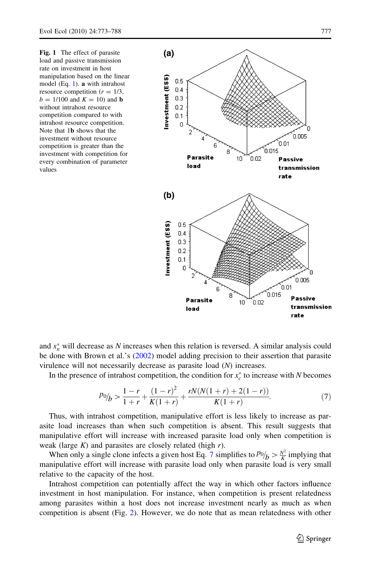<span id="page-4-0"></span>Fig. 1 The effect of parasite load and passive transmission rate on investment in host manipulation based on the linear model (Eq. [1](#page-2-0)). a with intrahost resource competition  $(r = 1/3,$  $b = 1/100$  and  $K = 10$ ) and **b** without intrahost resource competition compared to with intrahost resource competition. Note that 1b shows that the investment without resource competition is greater than the investment with competition for every combination of parameter values



and  $x_n^*$  will decrease as N increases when this relation is reversed. A similar analysis could be done with Brown et al.'s [\(2002](#page-14-0)) model adding precision to their assertion that parasite virulence will not necessarily decrease as parasite load (N) increases.

In the presence of intrahost competition, the condition for  $x_c^*$  to increase with N becomes

$$
P0/p > \frac{1-r}{1+r} + \frac{(1-r)^2}{K(1+r)} + \frac{rN(N(1+r) + 2(1-r))}{K(1+r)}.
$$
\n(7)

Thus, with intrahost competition, manipulative effort is less likely to increase as parasite load increases than when such competition is absent. This result suggests that manipulative effort will increase with increased parasite load only when competition is weak (large  $K$ ) and parasites are closely related (high  $r$ ).

When only a single clone infects a given host Eq. 7 simplifies to  $P_0/2 > \frac{N^2}{K}$  implying that manipulative effort will increase with parasite load only when parasite load is very small relative to the capacity of the host.

Intrahost competition can potentially affect the way in which other factors influence investment in host manipulation. For instance, when competition is present relatedness among parasites within a host does not increase investment nearly as much as when competition is absent (Fig. [2\)](#page-5-0). However, we do note that as mean relatedness with other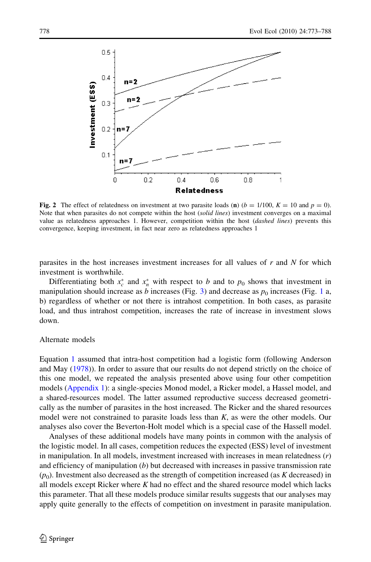<span id="page-5-0"></span>

Fig. 2 The effect of relatedness on investment at two parasite loads (n)  $(b = 1/100, K = 10$  and  $p = 0)$ . Note that when parasites do not compete within the host (solid lines) investment converges on a maximal value as relatedness approaches 1. However, competition within the host (*dashed lines*) prevents this convergence, keeping investment, in fact near zero as relatedness approaches 1

parasites in the host increases investment increases for all values of  $r$  and  $N$  for which investment is worthwhile.

Differentiating both  $x_c^*$  and  $x_n^*$  with respect to b and to  $p_0$  shows that investment in manipulation should increase as b increases (Fig. [3\)](#page-6-0) and decrease as  $p_0$  increases (Fig. [1](#page-4-0) a, b) regardless of whether or not there is intrahost competition. In both cases, as parasite load, and thus intrahost competition, increases the rate of increase in investment slows down.

# Alternate models

Equation [1](#page-2-0) assumed that intra-host competition had a logistic form (following Anderson and May [\(1978](#page-14-0))). In order to assure that our results do not depend strictly on the choice of this one model, we repeated the analysis presented above using four other competition models ([Appendix 1](#page-9-0)): a single-species Monod model, a Ricker model, a Hassel model, and a shared-resources model. The latter assumed reproductive success decreased geometrically as the number of parasites in the host increased. The Ricker and the shared resources model were not constrained to parasite loads less than  $K$ , as were the other models. Our analyses also cover the Beverton-Holt model which is a special case of the Hassell model.

Analyses of these additional models have many points in common with the analysis of the logistic model. In all cases, competition reduces the expected (ESS) level of investment in manipulation. In all models, investment increased with increases in mean relatedness  $(r)$ and efficiency of manipulation  $(b)$  but decreased with increases in passive transmission rate  $(p_0)$ . Investment also decreased as the strength of competition increased (as K decreased) in all models except Ricker where  $K$  had no effect and the shared resource model which lacks this parameter. That all these models produce similar results suggests that our analyses may apply quite generally to the effects of competition on investment in parasite manipulation.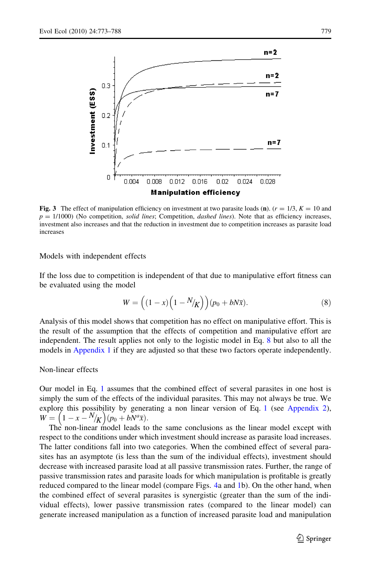<span id="page-6-0"></span>

Fig. 3 The effect of manipulation efficiency on investment at two parasite loads (n).  $(r = 1/3, K = 10$  and  $p = 1/1000$ ) (No competition, solid lines; Competition, dashed lines). Note that as efficiency increases, investment also increases and that the reduction in investment due to competition increases as parasite load increases

Models with independent effects

If the loss due to competition is independent of that due to manipulative effort fitness can be evaluated using the model

$$
W = \left( (1 - x) \left( 1 - \frac{N}{K} \right) \right) (p_0 + bN\overline{x}). \tag{8}
$$

Analysis of this model shows that competition has no effect on manipulative effort. This is the result of the assumption that the effects of competition and manipulative effort are independent. The result applies not only to the logistic model in Eq. 8 but also to all the models in [Appendix 1](#page-9-0) if they are adjusted so that these two factors operate independently.

Non-linear effects

Our model in Eq. [1](#page-2-0) assumes that the combined effect of several parasites in one host is simply the sum of the effects of the individual parasites. This may not always be true. We explore this possibility by generating a non linear version of Eq. [1](#page-2-0) (see [Appendix 2](#page-13-0)), explore this possibility by gener<br>  $W = \left(1 - x - \frac{N}{K}\right)(p_0 + bN^a\overline{x}).$ 

The non-linear model leads to the same conclusions as the linear model except with respect to the conditions under which investment should increase as parasite load increases. The latter conditions fall into two categories. When the combined effect of several parasites has an asymptote (is less than the sum of the individual effects), investment should decrease with increased parasite load at all passive transmission rates. Further, the range of passive transmission rates and parasite loads for which manipulation is profitable is greatly reduced compared to the linear model (compare Figs. [4](#page-7-0)a and [1](#page-4-0)b). On the other hand, when the combined effect of several parasites is synergistic (greater than the sum of the individual effects), lower passive transmission rates (compared to the linear model) can generate increased manipulation as a function of increased parasite load and manipulation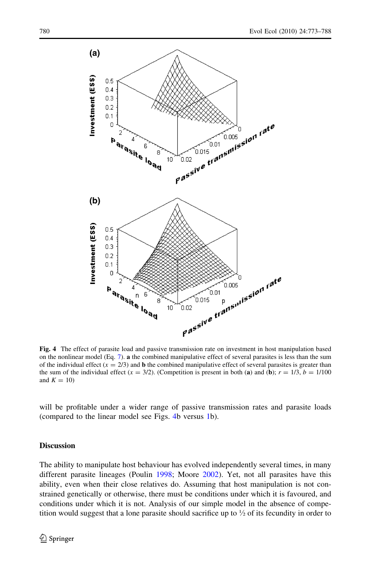<span id="page-7-0"></span>

Fig. 4 The effect of parasite load and passive transmission rate on investment in host manipulation based on the nonlinear model (Eq. [7](#page-4-0)). a the combined manipulative effect of several parasites is less than the sum of the individual effect  $(x = 2/3)$  and **b** the combined manipulative effect of several parasites is greater than the sum of the individual effect  $(x = 3/2)$ . (Competition is present in both (a) and (b);  $r = 1/3$ ,  $b = 1/100$ and  $K = 10$ 

will be profitable under a wider range of passive transmission rates and parasite loads (compared to the linear model see Figs. 4b versus [1](#page-4-0)b).

#### **Discussion**

The ability to manipulate host behaviour has evolved independently several times, in many different parasite lineages (Poulin [1998;](#page-14-0) Moore [2002](#page-14-0)). Yet, not all parasites have this ability, even when their close relatives do. Assuming that host manipulation is not constrained genetically or otherwise, there must be conditions under which it is favoured, and conditions under which it is not. Analysis of our simple model in the absence of competition would suggest that a lone parasite should sacrifice up to  $\frac{1}{2}$  of its fecundity in order to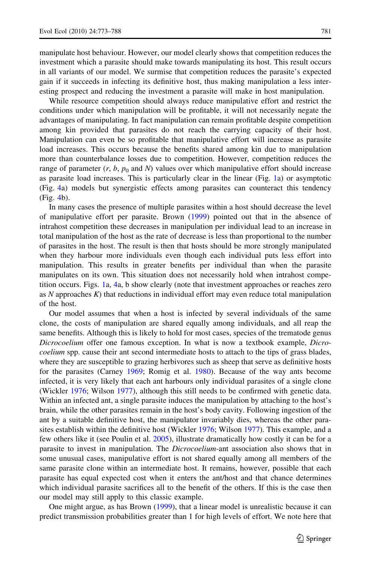manipulate host behaviour. However, our model clearly shows that competition reduces the investment which a parasite should make towards manipulating its host. This result occurs in all variants of our model. We surmise that competition reduces the parasite's expected gain if it succeeds in infecting its definitive host, thus making manipulation a less interesting prospect and reducing the investment a parasite will make in host manipulation.

While resource competition should always reduce manipulative effort and restrict the conditions under which manipulation will be profitable, it will not necessarily negate the advantages of manipulating. In fact manipulation can remain profitable despite competition among kin provided that parasites do not reach the carrying capacity of their host. Manipulation can even be so profitable that manipulative effort will increase as parasite load increases. This occurs because the benefits shared among kin due to manipulation more than counterbalance losses due to competition. However, competition reduces the range of parameter  $(r, b, p_0 \text{ and } N)$  values over which manipulative effort should increase as parasite load increases. This is particularly clear in the linear (Fig. [1a](#page-4-0)) or asymptotic (Fig. [4a](#page-7-0)) models but synergistic effects among parasites can counteract this tendency (Fig. [4b](#page-7-0)).

In many cases the presence of multiple parasites within a host should decrease the level of manipulative effort per parasite. Brown [\(1999](#page-14-0)) pointed out that in the absence of intrahost competition these decreases in manipulation per individual lead to an increase in total manipulation of the host as the rate of decrease is less than proportional to the number of parasites in the host. The result is then that hosts should be more strongly manipulated when they harbour more individuals even though each individual puts less effort into manipulation. This results in greater benefits per individual than when the parasite manipulates on its own. This situation does not necessarily hold when intrahost competition occurs. Figs. [1a](#page-4-0), [4](#page-7-0)a, b show clearly (note that investment approaches or reaches zero as  $N$  approaches  $K$ ) that reductions in individual effort may even reduce total manipulation of the host.

Our model assumes that when a host is infected by several individuals of the same clone, the costs of manipulation are shared equally among individuals, and all reap the same benefits. Although this is likely to hold for most cases, species of the trematode genus Dicrocoelium offer one famous exception. In what is now a textbook example, Dicrocoelium spp. cause their ant second intermediate hosts to attach to the tips of grass blades, where they are susceptible to grazing herbivores such as sheep that serve as definitive hosts for the parasites (Carney [1969](#page-14-0); Romig et al. [1980\)](#page-15-0). Because of the way ants become infected, it is very likely that each ant harbours only individual parasites of a single clone (Wickler [1976](#page-15-0); Wilson [1977](#page-15-0)), although this still needs to be confirmed with genetic data. Within an infected ant, a single parasite induces the manipulation by attaching to the host's brain, while the other parasites remain in the host's body cavity. Following ingestion of the ant by a suitable definitive host, the manipulator invariably dies, whereas the other parasites establish within the definitive host (Wickler [1976](#page-15-0); Wilson [1977\)](#page-15-0). This example, and a few others like it (see Poulin et al. [2005](#page-14-0)), illustrate dramatically how costly it can be for a parasite to invest in manipulation. The *Dicrocoelium*-ant association also shows that in some unusual cases, manipulative effort is not shared equally among all members of the same parasite clone within an intermediate host. It remains, however, possible that each parasite has equal expected cost when it enters the ant/host and that chance determines which individual parasite sacrifices all to the benefit of the others. If this is the case then our model may still apply to this classic example.

One might argue, as has Brown [\(1999](#page-14-0)), that a linear model is unrealistic because it can predict transmission probabilities greater than 1 for high levels of effort. We note here that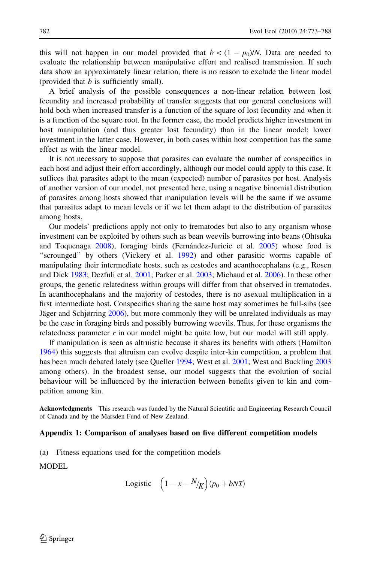<span id="page-9-0"></span>this will not happen in our model provided that  $b \lt (1 - p_0)/N$ . Data are needed to evaluate the relationship between manipulative effort and realised transmission. If such data show an approximately linear relation, there is no reason to exclude the linear model (provided that  $b$  is sufficiently small).

A brief analysis of the possible consequences a non-linear relation between lost fecundity and increased probability of transfer suggests that our general conclusions will hold both when increased transfer is a function of the square of lost fecundity and when it is a function of the square root. In the former case, the model predicts higher investment in host manipulation (and thus greater lost fecundity) than in the linear model; lower investment in the latter case. However, in both cases within host competition has the same effect as with the linear model.

It is not necessary to suppose that parasites can evaluate the number of conspecifics in each host and adjust their effort accordingly, although our model could apply to this case. It suffices that parasites adapt to the mean (expected) number of parasites per host. Analysis of another version of our model, not presented here, using a negative binomial distribution of parasites among hosts showed that manipulation levels will be the same if we assume that parasites adapt to mean levels or if we let them adapt to the distribution of parasites among hosts.

Our models' predictions apply not only to trematodes but also to any organism whose investment can be exploited by others such as bean weevils burrowing into beans (Ohtsuka and Toquenaga [2008\)](#page-14-0), foraging birds (Fernández-Juricic et al. [2005](#page-14-0)) whose food is ''scrounged'' by others (Vickery et al. [1992](#page-15-0)) and other parasitic worms capable of manipulating their intermediate hosts, such as cestodes and acanthocephalans (e.g., Rosen and Dick [1983;](#page-15-0) Dezfuli et al. [2001;](#page-14-0) Parker et al. [2003](#page-14-0); Michaud et al. [2006\)](#page-14-0). In these other groups, the genetic relatedness within groups will differ from that observed in trematodes. In acanthocephalans and the majority of cestodes, there is no asexual multiplication in a first intermediate host. Conspecifics sharing the same host may sometimes be full-sibs (see Jäger and Schjørring [2006](#page-14-0)), but more commonly they will be unrelated individuals as may be the case in foraging birds and possibly burrowing weevils. Thus, for these organisms the relatedness parameter  $r$  in our model might be quite low, but our model will still apply.

If manipulation is seen as altruistic because it shares its benefits with others (Hamilton [1964\)](#page-14-0) this suggests that altruism can evolve despite inter-kin competition, a problem that has been much debated lately (see Queller [1994;](#page-15-0) West et al. [2001;](#page-15-0) West and Buckling [2003](#page-15-0) among others). In the broadest sense, our model suggests that the evolution of social behaviour will be influenced by the interaction between benefits given to kin and competition among kin.

Acknowledgments This research was funded by the Natural Scientific and Engineering Research Council of Canada and by the Marsden Fund of New Zealand.

### Appendix 1: Comparison of analyses based on five different competition models

(a) Fitness equations used for the competition models MODEL

Logistic 
$$
\left(1 - x - \frac{N}{K}\right)(p_0 + bN\overline{x})
$$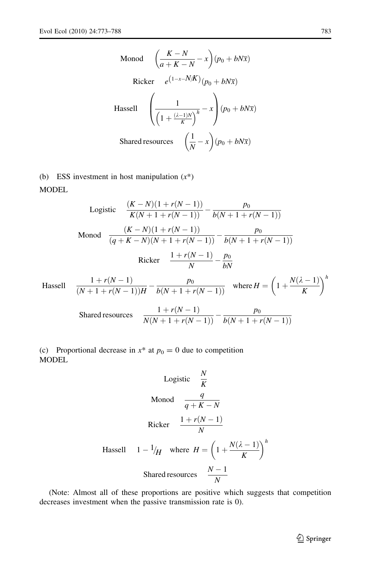Monod 
$$
\left(\frac{K-N}{a+K-N} - x\right)(p_0 + bN\overline{x})
$$

\nRicker 
$$
e^{(1-x-N/K)}(p_0 + bN\overline{x})
$$

\nHassell 
$$
\left(\frac{1}{\left(1 + \frac{(\lambda-1)N}{K}\right)^h} - x\right)(p_0 + bN\overline{x})
$$

\nShared resources 
$$
\left(\frac{1}{N} - x\right)(p_0 + bN\overline{x})
$$

(b) ESS investment in host manipulation  $(x^*)$ MODEL

Logistic 
$$
\frac{(K - N)(1 + r(N - 1))}{K(N + 1 + r(N - 1))} - \frac{p_0}{b(N + 1 + r(N - 1))}
$$
  
\nMonod 
$$
\frac{(K - N)(1 + r(N - 1))}{(q + K - N)(N + 1 + r(N - 1))} - \frac{p_0}{b(N + 1 + r(N - 1))}
$$
  
\nRicker 
$$
\frac{1 + r(N - 1)}{N} - \frac{p_0}{bN}
$$
  
\n
$$
\frac{1 + r(N - 1)}{N} - \frac{p_0}{bN}
$$
 where  $H = \left(1 + \frac{N(\lambda - 1)}{N}\right)^h$ 

Hassell

\n
$$
\frac{1 + r(N-1)}{(N+1+r(N-1))H} - \frac{p_0}{b(N+1+r(N-1))} \quad \text{where } H = \left(1 + \frac{N(\lambda - 1)}{K}\right)^n
$$
\nShared resources

\n
$$
\frac{1 + r(N-1)}{N(N+1+r(N-1))} - \frac{p_0}{b(N+1+r(N-1))}
$$

(c) Proportional decrease in  $x^*$  at  $p_0 = 0$  due to competition MODEL

Logistic 
$$
\frac{N}{K}
$$
  
\nMonod  $\frac{q}{q + K - N}$   
\nRicker  $\frac{1 + r(N - 1)}{N}$   
\nHassell  $1 - \frac{1}{H}$  where  $H = \left(1 + \frac{N(\lambda - 1)}{K}\right)^h$   
\nShared resources  $\frac{N - 1}{N}$ 

(Note: Almost all of these proportions are positive which suggests that competition decreases investment when the passive transmission rate is 0).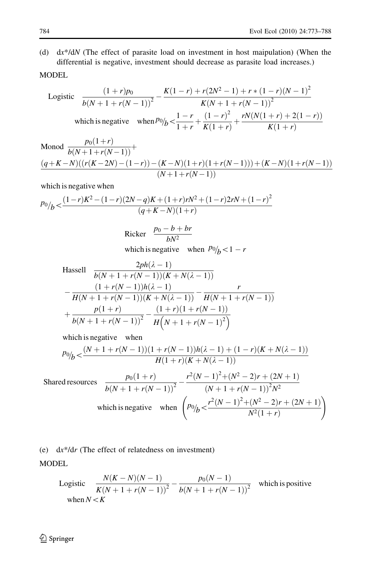(d) dx\*/dN (The effect of parasite load on investment in host maipulation) (When the differential is negative, investment should decrease as parasite load increases.)

# **MODEL**

Logistic 
$$
\frac{(1+r)p_0}{b(N+1+r(N-1))^2} - \frac{K(1-r) + r(2N^2 - 1) + r * (1-r)(N-1)^2}{K(N+1+r(N-1))^2}
$$
  
which is negative when  $p_0/b < \frac{1-r}{1+r} + \frac{(1-r)^2}{K(1+r)} + \frac{rN(N(1+r) + 2(1-r))}{K(1+r)}$ 

$$
\begin{aligned} &\text{Monod } \frac{p_0(1+r)}{b(N+1+r(N-1))} + \\ &\frac{(q+K-N)((r(K-2N)-(1-r))-(K-N)(1+r)(1+r(N-1)))+(K-N)(1+r(N-1))}{(N+1+r(N-1))} \end{aligned}
$$

which is negative when

$$
p_0 /_{b} < \frac{(1-r)K^2 - (1-r)(2N-q)K + (1+r)rN^2 + (1-r)2rN + (1-r)^2}{(q+K-N)(1+r)}
$$

$$
\text{Ricker} \quad \frac{p_0 - b + br}{bN^2}
$$

which is negative when  $P0/b < 1 - r$ 

$$
\text{Hassell} \quad \frac{2ph(\lambda - 1)}{b(N + 1 + r(N - 1))(K + N(\lambda - 1))} \\ - \frac{(1 + r(N - 1))h(\lambda - 1)}{H(N + 1 + r(N - 1))(K + N(\lambda - 1))} - \frac{r}{H(N + 1 + r(N - 1))} \\ + \frac{p(1 + r)}{b(N + 1 + r(N - 1))^2} - \frac{(1 + r)(1 + r(N - 1))}{H(N + 1 + r(N - 1)^2)}
$$

which is negative when

$$
p_0\!\big/\!_b\!<\!\!\frac{(N+1+r(N-1))(1+r(N-1))h(\lambda-1)+(1-r)(K+N(\lambda-1))}{H(1+r)(K+N(\lambda-1))}
$$

Shared resources

\n
$$
\frac{p_0(1+r)}{b(N+1+r(N-1))^2} - \frac{r^2(N-1)^2 + (N^2-2)r + (2N+1)}{(N+1+r(N-1))^2 N^2}
$$
\nwhich is negative

\n
$$
\text{when } \left( \frac{p_0}{b} < \frac{r^2(N-1)^2 + (N^2-2)r + (2N+1)}{N^2(1+r)} \right)
$$

(e) dx\*/dr (The effect of relatedness on investment) MODEL

Logistic 
$$
\frac{N(K-N)(N-1)}{K(N+1+r(N-1))^2} - \frac{p_0(N-1)}{b(N+1+r(N-1))^2}
$$
 which is positive  
when  $N < K$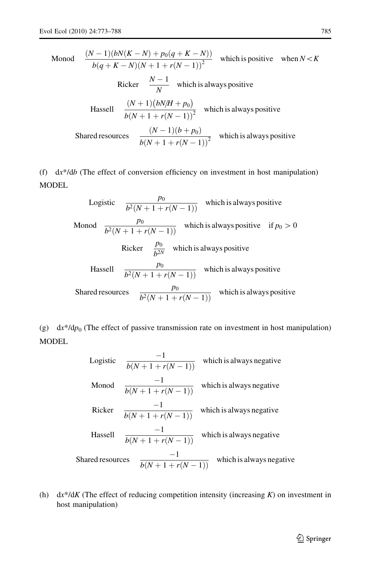Monod

\n
$$
\frac{(N-1)(bN(K-N) + p_0(q+K-N))}{b(q+K-N)(N+1+r(N-1))^2}
$$
\nwhich is positive when  $N < K$ 

\nRicker

\n
$$
\frac{N-1}{N}
$$
\nwhich is always positive

\nHassell

\n
$$
\frac{(N+1)(bN/H + p_0)}{b(N+1+r(N-1))^2}
$$
\nwhich is always positive

\nShared resources

\n
$$
\frac{(N-1)(b+p_0)}{b(N+1+r(N-1))^2}
$$
\nwhich is always positive

(f) dx\*/db (The effect of conversion efficiency on investment in host manipulation) MODEL

Logistic 
$$
\frac{p_0}{b^2(N+1+r(N-1))}
$$
 which is always positive  
\nMonod  $\frac{p_0}{b^2(N+1+r(N-1))}$  which is always positive if  $p_0 > 0$   
\nRicker  $\frac{p_0}{b^{2N}}$  which is always positive  
\nHassell  $\frac{p_0}{b^2(N+1+r(N-1))}$  which is always positive  
\nShared resources  $\frac{p_0}{b^2(N+1+r(N-1))}$  which is always positive

(g)  $dx^*/dp_0$  (The effect of passive transmission rate on investment in host manipulation) **MODEL** 

Logistic 
$$
\frac{-1}{b(N+1+r(N-1))}
$$
 which is always negative  
\nMonod  $\frac{-1}{b(N+1+r(N-1))}$  which is always negative  
\nRicker  $\frac{-1}{b(N+1+r(N-1))}$  which is always negative  
\nHassell  $\frac{-1}{b(N+1+r(N-1))}$  which is always negative  
\nShared resources  $\frac{-1}{b(N+1+r(N-1))}$  which is always negative

(h)  $dx^*$ /dK (The effect of reducing competition intensity (increasing K) on investment in host manipulation)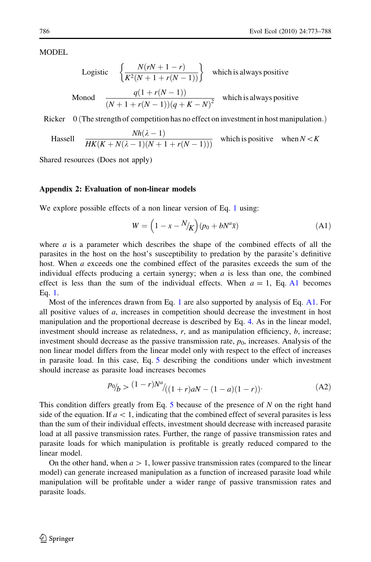<span id="page-13-0"></span>MODEL

Logistic 
$$
\left\{ \frac{N(rN+1-r)}{K^2(N+1+r(N-1))} \right\}
$$
 which is always positive

$$
M \text{onod} \quad \frac{q(1 + r(N-1))}{(N+1+r(N-1))(q+K-N)^2} \quad \text{which is always positive}
$$

Ricker  $0$  (The strength of competition has no effect on investment in host manipulation.)

Hassell 
$$
\frac{Nh(\lambda - 1)}{HK(K + N(\lambda - 1)(N + 1 + r(N - 1)))}
$$
 which is positive when  $N < K$ 

Shared resources (Does not apply)

# Appendix 2: Evaluation of non-linear models

We explore possible effects of a non linear version of Eq. [1](#page-2-0) using:

$$
W = \left(1 - x - \frac{N}{K}\right)(p_0 + bN^a\overline{x})\tag{A1}
$$

where  $\alpha$  is a parameter which describes the shape of the combined effects of all the parasites in the host on the host's susceptibility to predation by the parasite's definitive host. When a exceeds one the combined effect of the parasites exceeds the sum of the individual effects producing a certain synergy; when  $a$  is less than one, the combined effect is less than the sum of the individual effects. When  $a = 1$ , Eq. A1 becomes Eq. [1.](#page-2-0)

Most of the inferences drawn from Eq. [1](#page-2-0) are also supported by analysis of Eq. A1. For all positive values of  $a$ , increases in competition should decrease the investment in host manipulation and the proportional decrease is described by Eq. [4](#page-3-0). As in the linear model, investment should increase as relatedness,  $r$ , and as manipulation efficiency,  $b$ , increase; investment should decrease as the passive transmission rate,  $p_0$ , increases. Analysis of the non linear model differs from the linear model only with respect to the effect of increases in parasite load. In this case, Eq. [5](#page-3-0) describing the conditions under which investment should increase as parasite load increases becomes

$$
P0/p > (1 - r)N^{a}/((1 + r)aN - (1 - a)(1 - r))
$$
 (A2)

This condition differs greatly from Eq.  $5$  because of the presence of N on the right hand side of the equation. If  $a\lt 1$ , indicating that the combined effect of several parasites is less than the sum of their individual effects, investment should decrease with increased parasite load at all passive transmission rates. Further, the range of passive transmission rates and parasite loads for which manipulation is profitable is greatly reduced compared to the linear model.

On the other hand, when  $a > 1$ , lower passive transmission rates (compared to the linear model) can generate increased manipulation as a function of increased parasite load while manipulation will be profitable under a wider range of passive transmission rates and parasite loads.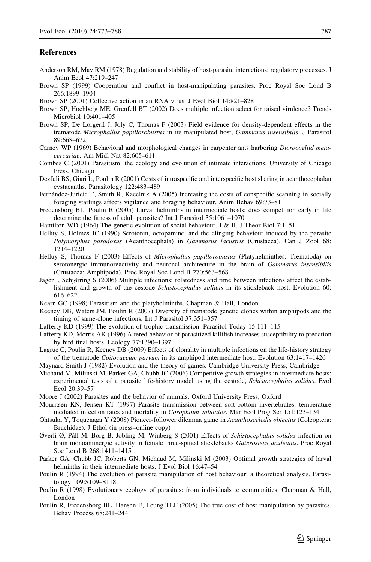#### <span id="page-14-0"></span>**References**

Anderson RM, May RM (1978) Regulation and stability of host-parasite interactions: regulatory processes. J Anim Ecol 47:219–247

Brown SP (1999) Cooperation and conflict in host-manipulating parasites. Proc Royal Soc Lond B 266:1899–1904

- Brown SP (2001) Collective action in an RNA virus. J Evol Biol 14:821–828
- Brown SP, Hochberg ME, Grenfell BT (2002) Does multiple infection select for raised virulence? Trends Microbiol 10:401–405
- Brown SP, De Lorgeril J, Joly C, Thomas F (2003) Field evidence for density-dependent effects in the trematode Microphallus papillorobustus in its manipulated host, Gammarus insensibilis. J Parasitol 89:668–672
- Carney WP (1969) Behavioral and morphological changes in carpenter ants harboring *Dicrocoeliid meta*cercariae. Am Midl Nat 82:605–611
- Combes C (2001) Parasitism: the ecology and evolution of intimate interactions. University of Chicago Press, Chicago
- Dezfuli BS, Giari L, Poulin R (2001) Costs of intraspecific and interspecific host sharing in acanthocephalan cystacanths. Parasitology 122:483–489
- Fernández-Juricic E, Smith R, Kacelnik A (2005) Increasing the costs of conspecific scanning in socially foraging starlings affects vigilance and foraging behaviour. Anim Behav 69:73–81
- Fredensborg BL, Poulin R (2005) Larval helminths in intermediate hosts: does competition early in life determine the fitness of adult parasites? Int J Parasitol 35:1061–1070
- Hamilton WD (1964) The genetic evolution of social behaviour. I & II. J Theor Biol 7:1–51
- Helluy S, Holmes JC (1990) Serotonin, octopamine, and the clinging behaviour induced by the parasite Polymorphus paradoxus (Acanthocephala) in Gammarus lacustris (Crustacea). Can J Zool 68: 1214–1220
- Helluy S, Thomas F (2003) Effects of *Microphallus papillorobustus* (Platyhelminthes: Trematoda) on serotonergic immunoreactivity and neuronal architecture in the brain of Gammarus insensibilis (Crustacea: Amphipoda). Proc Royal Soc Lond B 270:563–568
- Jäger I, Schjørring S (2006) Multiple infections: relatedness and time between infections affect the establishment and growth of the cestode Schistocephalus solidus in its stickleback host. Evolution 60: 616–622
- Kearn GC (1998) Parasitism and the platyhelminths. Chapman & Hall, London
- Keeney DB, Waters JM, Poulin R (2007) Diversity of trematode genetic clones within amphipods and the timing of same-clone infections. Int J Parasitol 37:351–357
- Lafferty KD (1999) The evolution of trophic transmission. Parasitol Today 15:111–115
- Lafferty KD, Morris AK (1996) Altered behavior of parasitized killifish increases susceptibility to predation by bird final hosts. Ecology 77:1390–1397
- Lagrue C, Poulin R, Keeney DB (2009) Effects of clonality in multiple infections on the life-history strategy of the trematode Coitocaecum parvum in its amphipod intermediate host. Evolution 63:1417–1426
- Maynard Smith J (1982) Evolution and the theory of games. Cambridge University Press, Cambridge
- Michaud M, Milinski M, Parker GA, Chubb JC (2006) Competitive growth strategies in intermediate hosts: experimental tests of a parasite life-history model using the cestode, Schistocephalus solidus. Evol Ecol 20:39–57
- Moore J (2002) Parasites and the behavior of animals. Oxford University Press, Oxford
- Mouritsen KN, Jensen KT (1997) Parasite transmission between soft-bottom invertebrates: temperature mediated infection rates and mortality in Corophium volutator. Mar Ecol Prog Ser 151:123–134
- Ohtsuka Y, Toquenaga Y (2008) Pioneer-follower dilemma game in Acanthosceledis obtectus (Coleoptera: Bruchidae). J Ethol (in press–online copy)
- Øverli Ø, Pàll M, Borg B, Jobling M, Winberg S (2001) Effects of Schistocephalus solidus infection on brain monoaminergic activity in female three-spined sticklebacks Gaterosteus aculeatus. Proc Royal Soc Lond B 268:1411–1415
- Parker GA, Chubb JC, Roberts GN, Michaud M, Milinski M (2003) Optimal growth strategies of larval helminths in their intermediate hosts. J Evol Biol 16:47–54
- Poulin R (1994) The evolution of parasite manipulation of host behaviour: a theoretical analysis. Parasitology 109:S109–S118
- Poulin R (1998) Evolutionary ecology of parasites: from individuals to communities. Chapman & Hall, London
- Poulin R, Fredensborg BL, Hansen E, Leung TLF (2005) The true cost of host manipulation by parasites. Behav Process 68:241–244